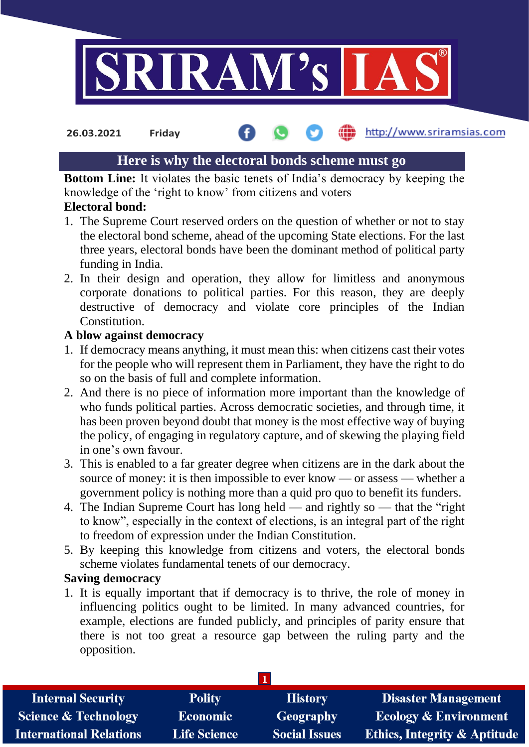

**26.03.2021 Friday**

## the http://www.sriramsias.com

# **Here is why the electoral bonds scheme must go**

**Bottom Line:** It violates the basic tenets of India's democracy by keeping the knowledge of the 'right to know' from citizens and voters

# **Electoral bond:**

- 1. The Supreme Court reserved orders on the question of whether or not to stay the electoral bond scheme, ahead of the upcoming State elections. For the last three years, electoral bonds have been the dominant method of political party funding in India.
- 2. In their design and operation, they allow for limitless and anonymous corporate donations to political parties. For this reason, they are deeply destructive of democracy and violate core principles of the Indian Constitution.

## **A blow against democracy**

- 1. If democracy means anything, it must mean this: when citizens cast their votes for the people who will represent them in Parliament, they have the right to do so on the basis of full and complete information.
- 2. And there is no piece of information more important than the knowledge of who funds political parties. Across democratic societies, and through time, it has been proven beyond doubt that money is the most effective way of buying the policy, of engaging in regulatory capture, and of skewing the playing field in one's own favour.
- 3. This is enabled to a far greater degree when citizens are in the dark about the source of money: it is then impossible to ever know — or assess — whether a government policy is nothing more than a quid pro quo to benefit its funders.
- 4. The Indian Supreme Court has long held and rightly so that the "right to know", especially in the context of elections, is an integral part of the right to freedom of expression under the Indian Constitution.
- 5. By keeping this knowledge from citizens and voters, the electoral bonds scheme violates fundamental tenets of our democracy.

### **Saving democracy**

1. It is equally important that if democracy is to thrive, the role of money in influencing politics ought to be limited. In many advanced countries, for example, elections are funded publicly, and principles of parity ensure that there is not too great a resource gap between the ruling party and the opposition.

| <b>Internal Security</b>        | <b>Polity</b>       | <b>History</b>       | Disaster Management                     |
|---------------------------------|---------------------|----------------------|-----------------------------------------|
| <b>Science &amp; Technology</b> | <b>Economic</b>     | <b>Geography</b>     | <b>Ecology &amp; Environment</b>        |
| <b>International Relations</b>  | <b>Life Science</b> | <b>Social Issues</b> | <b>Ethics, Integrity &amp; Aptitude</b> |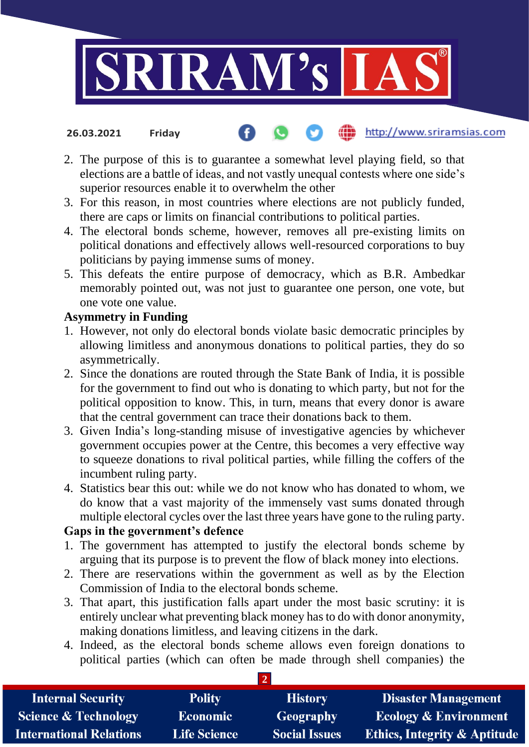

### http://www.sriramsias.com **26.03.2021 Friday**

- 2. The purpose of this is to guarantee a somewhat level playing field, so that elections are a battle of ideas, and not vastly unequal contests where one side's superior resources enable it to overwhelm the other
- 3. For this reason, in most countries where elections are not publicly funded, there are caps or limits on financial contributions to political parties.
- 4. The electoral bonds scheme, however, removes all pre-existing limits on political donations and effectively allows well-resourced corporations to buy politicians by paying immense sums of money.
- 5. This defeats the entire purpose of democracy, which as B.R. Ambedkar memorably pointed out, was not just to guarantee one person, one vote, but one vote one value.

## **Asymmetry in Funding**

- 1. However, not only do electoral bonds violate basic democratic principles by allowing limitless and anonymous donations to political parties, they do so asymmetrically.
- 2. Since the donations are routed through the State Bank of India, it is possible for the government to find out who is donating to which party, but not for the political opposition to know. This, in turn, means that every donor is aware that the central government can trace their donations back to them.
- 3. Given India's long-standing misuse of investigative agencies by whichever government occupies power at the Centre, this becomes a very effective way to squeeze donations to rival political parties, while filling the coffers of the incumbent ruling party.
- 4. Statistics bear this out: while we do not know who has donated to whom, we do know that a vast majority of the immensely vast sums donated through multiple electoral cycles over the last three years have gone to the ruling party.

# **Gaps in the government's defence**

- 1. The government has attempted to justify the electoral bonds scheme by arguing that its purpose is to prevent the flow of black money into elections.
- 2. There are reservations within the government as well as by the Election Commission of India to the electoral bonds scheme.
- 3. That apart, this justification falls apart under the most basic scrutiny: it is entirely unclear what preventing black money has to do with donor anonymity, making donations limitless, and leaving citizens in the dark.
- 4. Indeed, as the electoral bonds scheme allows even foreign donations to political parties (which can often be made through shell companies) the

**2**

| <b>Internal Security</b>        | <b>Polity</b>       | <b>History</b>       | <b>Disaster Management</b>              |
|---------------------------------|---------------------|----------------------|-----------------------------------------|
| <b>Science &amp; Technology</b> | <b>Economic</b>     | Geography            | <b>Ecology &amp; Environment</b>        |
| <b>International Relations</b>  | <b>Life Science</b> | <b>Social Issues</b> | <b>Ethics, Integrity &amp; Aptitude</b> |